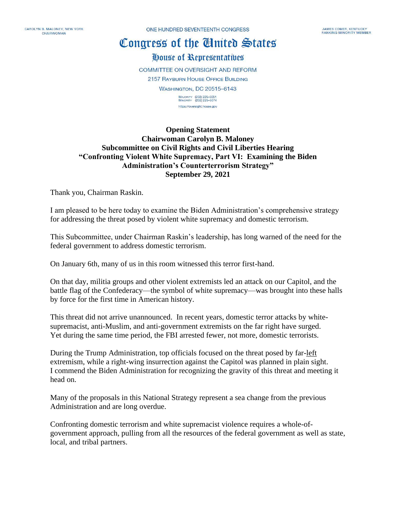CAROLYN B. MALONEY, NEW YORK CHAIRWOMAN

ONE HUNDRED SEVENTEENTH CONGRESS

## Congress of the Cluited States

## House of Representatives

COMMITTEE ON OVERSIGHT AND REFORM **2157 RAYBURN HOUSE OFFICE BUILDING WASHINGTON, DC 20515-6143** 

> MAJORITY (202) 225-5051<br>MINORITY (202) 225-5074 https://oversight.house.gov

## **Opening Statement Chairwoman Carolyn B. Maloney Subcommittee on Civil Rights and Civil Liberties Hearing "Confronting Violent White Supremacy, Part VI: Examining the Biden Administration's Counterterrorism Strategy" September 29, 2021**

Thank you, Chairman Raskin.

I am pleased to be here today to examine the Biden Administration's comprehensive strategy for addressing the threat posed by violent white supremacy and domestic terrorism.

This Subcommittee, under Chairman Raskin's leadership, has long warned of the need for the federal government to address domestic terrorism.

On January 6th, many of us in this room witnessed this terror first-hand.

On that day, militia groups and other violent extremists led an attack on our Capitol, and the battle flag of the Confederacy—the symbol of white supremacy—was brought into these halls by force for the first time in American history.

This threat did not arrive unannounced. In recent years, domestic terror attacks by whitesupremacist, anti-Muslim, and anti-government extremists on the far right have surged. Yet during the same time period, the FBI arrested fewer, not more, domestic terrorists.

During the Trump Administration, top officials focused on the threat posed by far-left extremism, while a right-wing insurrection against the Capitol was planned in plain sight. I commend the Biden Administration for recognizing the gravity of this threat and meeting it head on.

Many of the proposals in this National Strategy represent a sea change from the previous Administration and are long overdue.

Confronting domestic terrorism and white supremacist violence requires a whole-ofgovernment approach, pulling from all the resources of the federal government as well as state, local, and tribal partners.